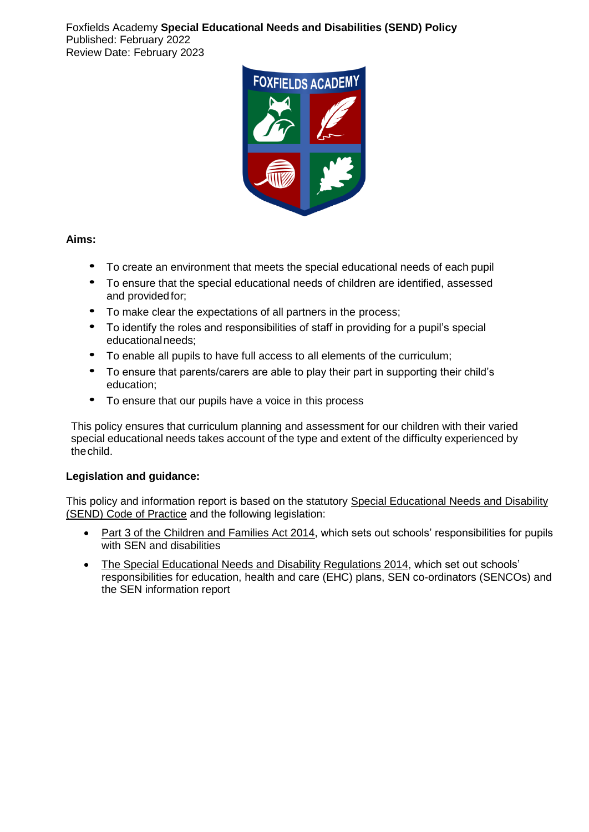Foxfields Academy **Special Educational Needs and Disabilities (SEND) Policy** Published: February 2022 Review Date: February 2023



# **Aims:**

- To create an environment that meets the special educational needs of each pupil
- To ensure that the special educational needs of children are identified, assessed and providedfor;
- To make clear the expectations of all partners in the process;
- To identify the roles and responsibilities of staff in providing for a pupil's special educationalneeds;
- To enable all pupils to have full access to all elements of the curriculum;
- To ensure that parents/carers are able to play their part in supporting their child's education;
- To ensure that our pupils have a voice in this process

This policy ensures that curriculum planning and assessment for our children with their varied special educational needs takes account of the type and extent of the difficulty experienced by thechild.

# **Legislation and guidance:**

This policy and information report is based on the statutory [Special Educational Needs and Disability](https://www.gov.uk/government/uploads/system/uploads/attachment_data/file/398815/SEND_Code_of_Practice_January_2015.pdf)  [\(SEND\) Code of Practice](https://www.gov.uk/government/uploads/system/uploads/attachment_data/file/398815/SEND_Code_of_Practice_January_2015.pdf) and the following legislation:

- [Part 3 of the Children and Families Act 2014,](http://www.legislation.gov.uk/ukpga/2014/6/part/3) which sets out schools' responsibilities for pupils with SEN and disabilities
- [The Special Educational Needs and Disability Regulations 2014,](http://www.legislation.gov.uk/uksi/2014/1530/contents/made) which set out schools' responsibilities for education, health and care (EHC) plans, SEN co-ordinators (SENCOs) and the SEN information report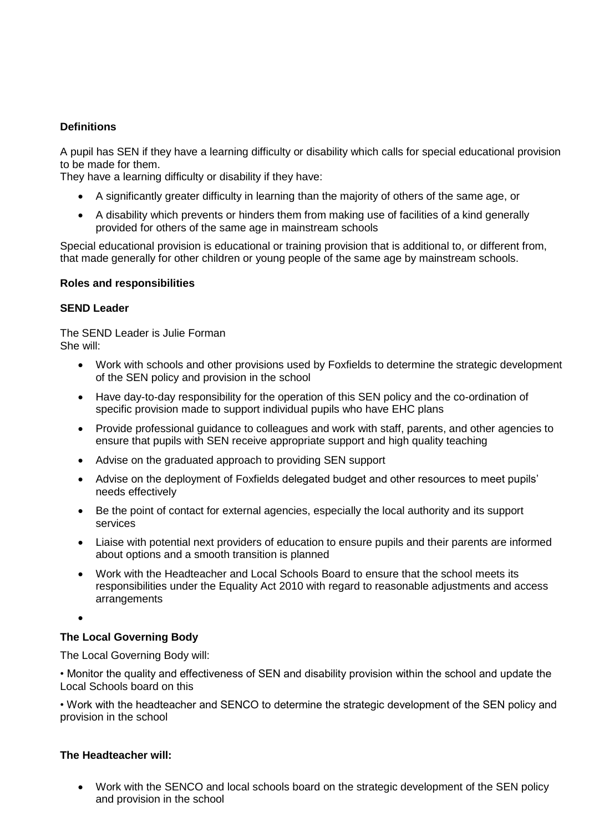# **Definitions**

A pupil has SEN if they have a learning difficulty or disability which calls for special educational provision to be made for them.

They have a learning difficulty or disability if they have:

- A significantly greater difficulty in learning than the majority of others of the same age, or
- A disability which prevents or hinders them from making use of facilities of a kind generally provided for others of the same age in mainstream schools

Special educational provision is educational or training provision that is additional to, or different from, that made generally for other children or young people of the same age by mainstream schools.

## **Roles and responsibilities**

## **SEND Leader**

The SEND Leader is Julie Forman She will:

- Work with schools and other provisions used by Foxfields to determine the strategic development of the SEN policy and provision in the school
- Have day-to-day responsibility for the operation of this SEN policy and the co-ordination of specific provision made to support individual pupils who have EHC plans
- Provide professional guidance to colleagues and work with staff, parents, and other agencies to ensure that pupils with SEN receive appropriate support and high quality teaching
- Advise on the graduated approach to providing SEN support
- Advise on the deployment of Foxfields delegated budget and other resources to meet pupils' needs effectively
- Be the point of contact for external agencies, especially the local authority and its support services
- Liaise with potential next providers of education to ensure pupils and their parents are informed about options and a smooth transition is planned
- Work with the Headteacher and Local Schools Board to ensure that the school meets its responsibilities under the Equality Act 2010 with regard to reasonable adjustments and access arrangements

•

# **The Local Governing Body**

The Local Governing Body will:

• Monitor the quality and effectiveness of SEN and disability provision within the school and update the Local Schools board on this

• Work with the headteacher and SENCO to determine the strategic development of the SEN policy and provision in the school

# **The Headteacher will:**

• Work with the SENCO and local schools board on the strategic development of the SEN policy and provision in the school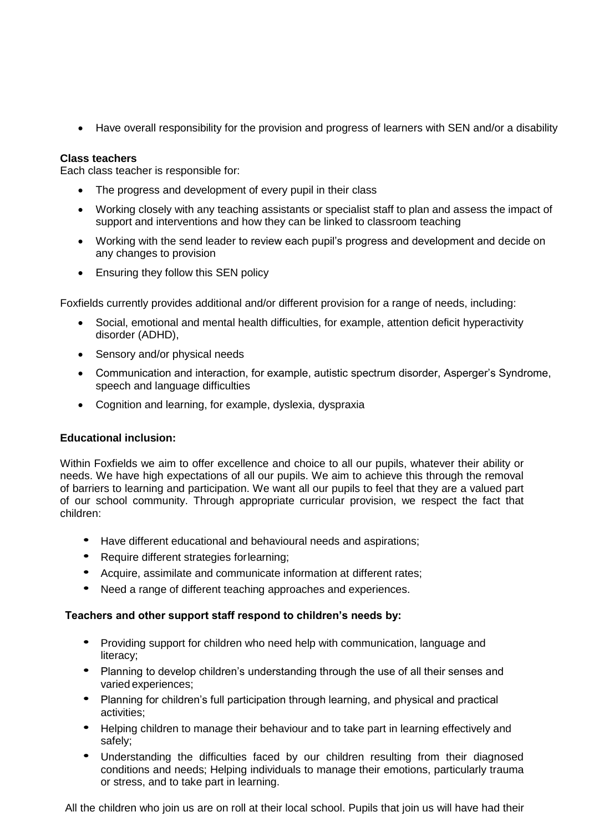• Have overall responsibility for the provision and progress of learners with SEN and/or a disability

## **Class teachers**

Each class teacher is responsible for:

- The progress and development of every pupil in their class
- Working closely with any teaching assistants or specialist staff to plan and assess the impact of support and interventions and how they can be linked to classroom teaching
- Working with the send leader to review each pupil's progress and development and decide on any changes to provision
- Ensuring they follow this SEN policy

Foxfields currently provides additional and/or different provision for a range of needs, including:

- Social, emotional and mental health difficulties, for example, attention deficit hyperactivity disorder (ADHD),
- Sensory and/or physical needs
- Communication and interaction, for example, autistic spectrum disorder, Asperger's Syndrome, speech and language difficulties
- Cognition and learning, for example, dyslexia, dyspraxia

#### **Educational inclusion:**

Within Foxfields we aim to offer excellence and choice to all our pupils, whatever their ability or needs. We have high expectations of all our pupils. We aim to achieve this through the removal of barriers to learning and participation. We want all our pupils to feel that they are a valued part of our school community. Through appropriate curricular provision, we respect the fact that children:

- Have different educational and behavioural needs and aspirations;
- Require different strategies forlearning;
- Acquire, assimilate and communicate information at different rates;
- Need a range of different teaching approaches and experiences.

#### **Teachers and other support staff respond to children's needs by:**

- Providing support for children who need help with communication, language and literacy;
- Planning to develop children's understanding through the use of all their senses and varied experiences;
- Planning for children's full participation through learning, and physical and practical activities;
- Helping children to manage their behaviour and to take part in learning effectively and safely;
- Understanding the difficulties faced by our children resulting from their diagnosed conditions and needs; Helping individuals to manage their emotions, particularly trauma or stress, and to take part in learning.

All the children who join us are on roll at their local school. Pupils that join us will have had their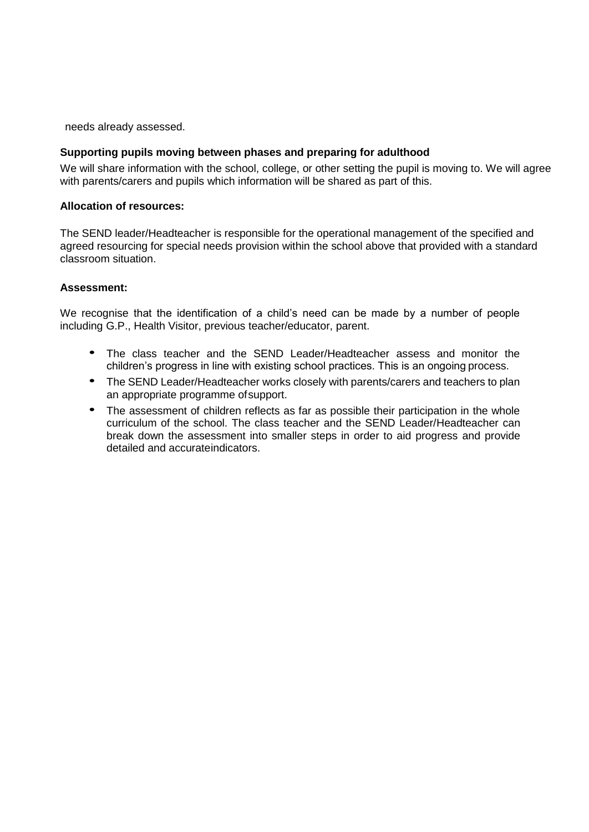needs already assessed.

## **Supporting pupils moving between phases and preparing for adulthood**

We will share information with the school, college, or other setting the pupil is moving to. We will agree with parents/carers and pupils which information will be shared as part of this.

## **Allocation of resources:**

The SEND leader/Headteacher is responsible for the operational management of the specified and agreed resourcing for special needs provision within the school above that provided with a standard classroom situation.

## **Assessment:**

We recognise that the identification of a child's need can be made by a number of people including G.P., Health Visitor, previous teacher/educator, parent.

- The class teacher and the SEND Leader/Headteacher assess and monitor the children's progress in line with existing school practices. This is an ongoing process.
- The SEND Leader/Headteacher works closely with parents/carers and teachers to plan an appropriate programme ofsupport.
- The assessment of children reflects as far as possible their participation in the whole curriculum of the school. The class teacher and the SEND Leader/Headteacher can break down the assessment into smaller steps in order to aid progress and provide detailed and accurateindicators.